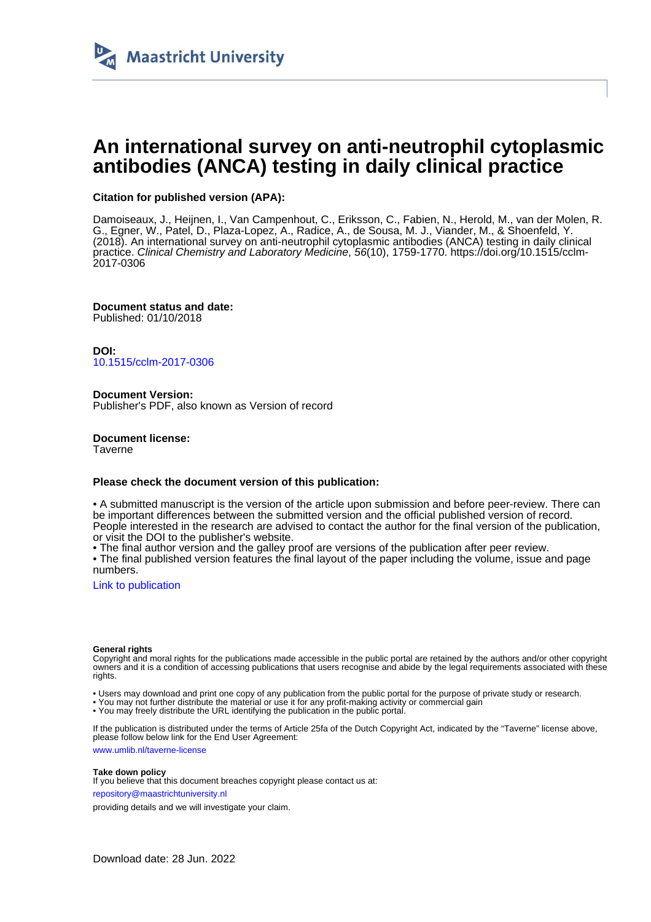

# **An international survey on anti-neutrophil cytoplasmic antibodies (ANCA) testing in daily clinical practice**

### **Citation for published version (APA):**

Damoiseaux, J., Heijnen, I., Van Campenhout, C., Eriksson, C., Fabien, N., Herold, M., van der Molen, R. G., Egner, W., Patel, D., Plaza-Lopez, A., Radice, A., de Sousa, M. J., Viander, M., & Shoenfeld, Y. (2018). An international survey on anti-neutrophil cytoplasmic antibodies (ANCA) testing in daily clinical practice. Clinical Chemistry and Laboratory Medicine, 56(10), 1759-1770. [https://doi.org/10.1515/cclm-](https://doi.org/10.1515/cclm-2017-0306)[2017-0306](https://doi.org/10.1515/cclm-2017-0306)

**Document status and date:** Published: 01/10/2018

**DOI:** [10.1515/cclm-2017-0306](https://doi.org/10.1515/cclm-2017-0306)

**Document Version:** Publisher's PDF, also known as Version of record

**Document license: Taverne** 

### **Please check the document version of this publication:**

• A submitted manuscript is the version of the article upon submission and before peer-review. There can be important differences between the submitted version and the official published version of record. People interested in the research are advised to contact the author for the final version of the publication, or visit the DOI to the publisher's website.

• The final author version and the galley proof are versions of the publication after peer review.

• The final published version features the final layout of the paper including the volume, issue and page numbers.

[Link to publication](https://cris.maastrichtuniversity.nl/en/publications/7086d8b0-0bf0-4fff-b363-6c9f8d2360ea)

#### **General rights**

Copyright and moral rights for the publications made accessible in the public portal are retained by the authors and/or other copyright owners and it is a condition of accessing publications that users recognise and abide by the legal requirements associated with these rights.

• Users may download and print one copy of any publication from the public portal for the purpose of private study or research.

• You may not further distribute the material or use it for any profit-making activity or commercial gain

• You may freely distribute the URL identifying the publication in the public portal.

If the publication is distributed under the terms of Article 25fa of the Dutch Copyright Act, indicated by the "Taverne" license above, please follow below link for the End User Agreement:

www.umlib.nl/taverne-license

#### **Take down policy**

If you believe that this document breaches copyright please contact us at: repository@maastrichtuniversity.nl

providing details and we will investigate your claim.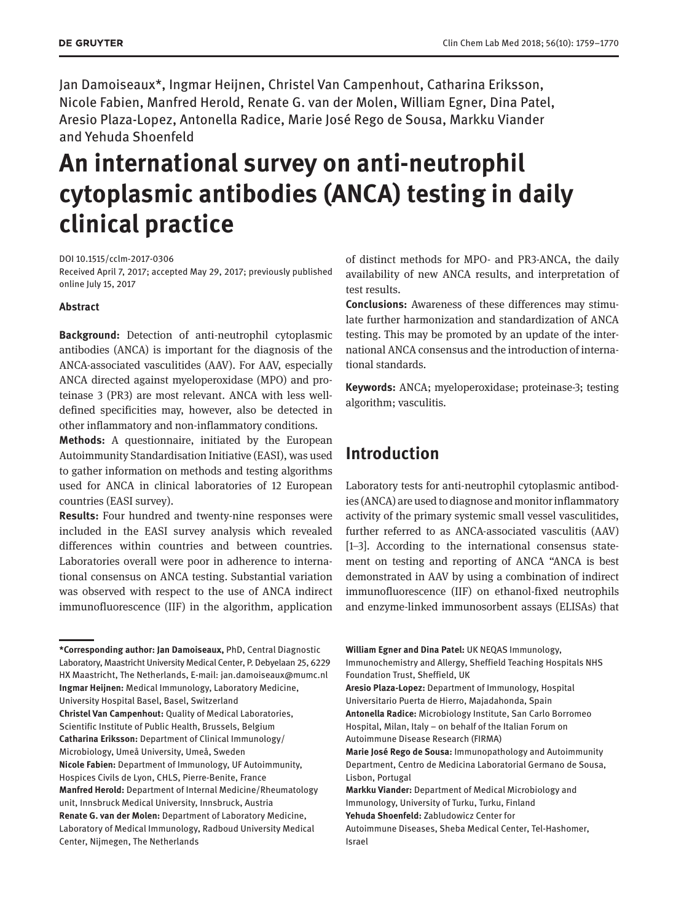Jan Damoiseaux\*, Ingmar Heijnen, Christel Van Campenhout, Catharina Eriksson, Nicole Fabien, Manfred Herold, Renate G. van der Molen, William Egner, Dina Patel, Aresio Plaza-Lopez, Antonella Radice, Marie José Rego de Sousa, Markku Viander and Yehuda Shoenfeld

# **An international survey on anti-neutrophil cytoplasmic antibodies (ANCA) testing in daily clinical practice**

DOI 10.1515/cclm-2017-0306

Received April 7, 2017; accepted May 29, 2017; previously published online July 15, 2017

#### **Abstract**

**Background:** Detection of anti-neutrophil cytoplasmic antibodies (ANCA) is important for the diagnosis of the ANCA-associated vasculitides (AAV). For AAV, especially ANCA directed against myeloperoxidase (MPO) and proteinase 3 (PR3) are most relevant. ANCA with less welldefined specificities may, however, also be detected in other inflammatory and non-inflammatory conditions.

**Methods:** A questionnaire, initiated by the European Autoimmunity Standardisation Initiative (EASI), was used to gather information on methods and testing algorithms used for ANCA in clinical laboratories of 12 European countries (EASI survey).

**Results:** Four hundred and twenty-nine responses were included in the EASI survey analysis which revealed differences within countries and between countries. Laboratories overall were poor in adherence to international consensus on ANCA testing. Substantial variation was observed with respect to the use of ANCA indirect immunofluorescence (IIF) in the algorithm, application

**\*Corresponding author: Jan Damoiseaux,** PhD, Central Diagnostic Laboratory, Maastricht University Medical Center, P. Debyelaan 25, 6229 HX Maastricht, The Netherlands, E-mail: [jan.damoiseaux@mumc.nl](mailto:jan.damoiseaux@mumc.nl) **Ingmar Heijnen:** Medical Immunology, Laboratory Medicine, University Hospital Basel, Basel, Switzerland **Christel Van Campenhout:** Quality of Medical Laboratories, Scientific Institute of Public Health, Brussels, Belgium **Catharina Eriksson:** Department of Clinical Immunology/ Microbiology, Umeå University, Umeå, Sweden **Nicole Fabien:** Department of Immunology, UF Autoimmunity, Hospices Civils de Lyon, CHLS, Pierre-Benite, France **Manfred Herold:** Department of Internal Medicine/Rheumatology unit, Innsbruck Medical University, Innsbruck, Austria **Renate G. van der Molen:** Department of Laboratory Medicine, Laboratory of Medical Immunology, Radboud University Medical Center, Nijmegen, The Netherlands

of distinct methods for MPO- and PR3-ANCA, the daily availability of new ANCA results, and interpretation of test results.

**Conclusions:** Awareness of these differences may stimulate further harmonization and standardization of ANCA testing. This may be promoted by an update of the international ANCA consensus and the introduction of international standards.

**Keywords:** ANCA; myeloperoxidase; proteinase-3; testing algorithm; vasculitis.

# **Introduction**

Laboratory tests for anti-neutrophil cytoplasmic antibodies (ANCA) are used to diagnose and monitor inflammatory activity of the primary systemic small vessel vasculitides, further referred to as ANCA-associated vasculitis (AAV) [1–3]. According to the international consensus statement on testing and reporting of ANCA "ANCA is best demonstrated in AAV by using a combination of indirect immunofluorescence (IIF) on ethanol-fixed neutrophils and enzyme-linked immunosorbent assays (ELISAs) that

Immunochemistry and Allergy, Sheffield Teaching Hospitals NHS Foundation Trust, Sheffield, UK

**Aresio Plaza-Lopez:** Department of Immunology, Hospital Universitario Puerta de Hierro, Majadahonda, Spain

**Antonella Radice:** Microbiology Institute, San Carlo Borromeo Hospital, Milan, Italy – on behalf of the Italian Forum on Autoimmune Disease Research (FIRMA)

**Marie José Rego de Sousa:** Immunopathology and Autoimmunity Department, Centro de Medicina Laboratorial Germano de Sousa, Lisbon, Portugal

**Markku Viander:** Department of Medical Microbiology and Immunology, University of Turku, Turku, Finland

**Yehuda Shoenfeld:** Zabludowicz Center for

Autoimmune Diseases, Sheba Medical Center, Tel-Hashomer, Israel

**William Egner and Dina Patel:** UK NEQAS Immunology,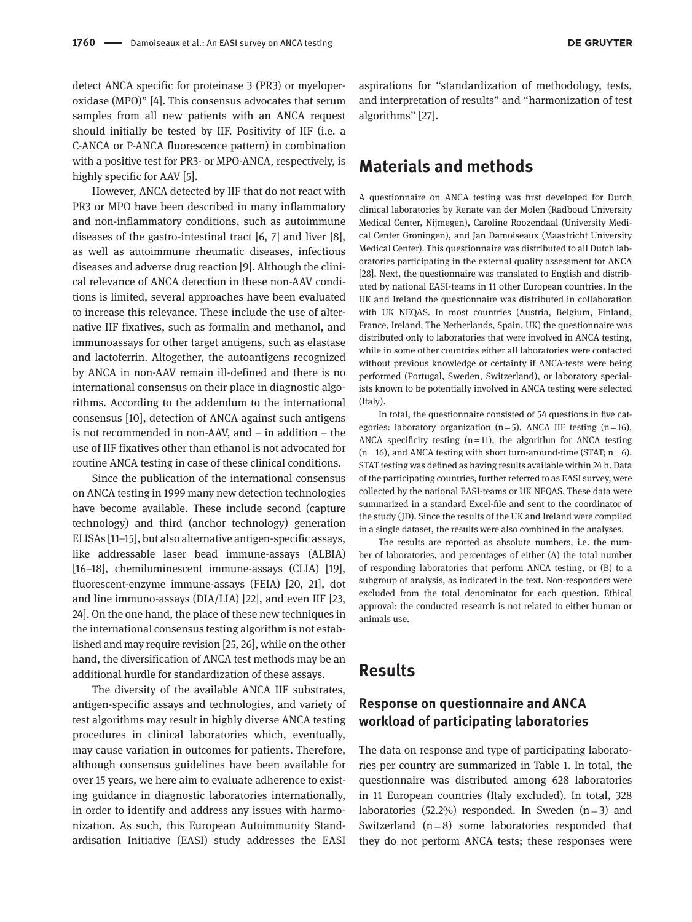detect ANCA specific for proteinase 3 (PR3) or myeloperoxidase (MPO)" [4]. This consensus advocates that serum samples from all new patients with an ANCA request should initially be tested by IIF. Positivity of IIF (i.e. a C-ANCA or P-ANCA fluorescence pattern) in combination with a positive test for PR3- or MPO-ANCA, respectively, is highly specific for AAV [5].

However, ANCA detected by IIF that do not react with PR3 or MPO have been described in many inflammatory and non-inflammatory conditions, such as autoimmune diseases of the gastro-intestinal tract [6, 7] and liver [8], as well as autoimmune rheumatic diseases, infectious diseases and adverse drug reaction [9]. Although the clinical relevance of ANCA detection in these non-AAV conditions is limited, several approaches have been evaluated to increase this relevance. These include the use of alternative IIF fixatives, such as formalin and methanol, and immunoassays for other target antigens, such as elastase and lactoferrin. Altogether, the autoantigens recognized by ANCA in non-AAV remain ill-defined and there is no international consensus on their place in diagnostic algorithms. According to the addendum to the international consensus [10], detection of ANCA against such antigens is not recommended in non-AAV, and – in addition – the use of IIF fixatives other than ethanol is not advocated for routine ANCA testing in case of these clinical conditions.

Since the publication of the international consensus on ANCA testing in 1999 many new detection technologies have become available. These include second (capture technology) and third (anchor technology) generation ELISAs [11–15], but also alternative antigen-specific assays, like addressable laser bead immune-assays (ALBIA) [16–18], chemiluminescent immune-assays (CLIA) [19], fluorescent-enzyme immune-assays (FEIA) [20, 21], dot and line immuno-assays (DIA/LIA) [22], and even IIF [23, 24]. On the one hand, the place of these new techniques in the international consensus testing algorithm is not established and may require revision [25, 26], while on the other hand, the diversification of ANCA test methods may be an additional hurdle for standardization of these assays.

The diversity of the available ANCA IIF substrates, antigen-specific assays and technologies, and variety of test algorithms may result in highly diverse ANCA testing procedures in clinical laboratories which, eventually, may cause variation in outcomes for patients. Therefore, although consensus guidelines have been available for over 15 years, we here aim to evaluate adherence to existing guidance in diagnostic laboratories internationally, in order to identify and address any issues with harmonization. As such, this European Autoimmunity Standardisation Initiative (EASI) study addresses the EASI

aspirations for "standardization of methodology, tests, and interpretation of results" and "harmonization of test algorithms" [27].

# **Materials and methods**

A questionnaire on ANCA testing was first developed for Dutch clinical laboratories by Renate van der Molen (Radboud University Medical Center, Nijmegen), Caroline Roozendaal (University Medical Center Groningen), and Jan Damoiseaux (Maastricht University Medical Center). This questionnaire was distributed to all Dutch laboratories participating in the external quality assessment for ANCA [28]. Next, the questionnaire was translated to English and distributed by national EASI-teams in 11 other European countries. In the UK and Ireland the questionnaire was distributed in collaboration with UK NEQAS. In most countries (Austria, Belgium, Finland, France, Ireland, The Netherlands, Spain, UK) the questionnaire was distributed only to laboratories that were involved in ANCA testing, while in some other countries either all laboratories were contacted without previous knowledge or certainty if ANCA-tests were being performed (Portugal, Sweden, Switzerland), or laboratory specialists known to be potentially involved in ANCA testing were selected (Italy).

In total, the questionnaire consisted of 54 questions in five categories: laboratory organization  $(n=5)$ , ANCA IIF testing  $(n=16)$ , ANCA specificity testing  $(n=11)$ , the algorithm for ANCA testing  $(n=16)$ , and ANCA testing with short turn-around-time (STAT;  $n=6$ ). STAT testing was defined as having results available within 24 h. Data of the participating countries, further referred to as EASI survey, were collected by the national EASI-teams or UK NEQAS. These data were summarized in a standard Excel-file and sent to the coordinator of the study (JD). Since the results of the UK and Ireland were compiled in a single dataset, the results were also combined in the analyses.

The results are reported as absolute numbers, i.e. the number of laboratories, and percentages of either (A) the total number of responding laboratories that perform ANCA testing, or (B) to a subgroup of analysis, as indicated in the text. Non-responders were excluded from the total denominator for each question. Ethical approval: the conducted research is not related to either human or animals use.

## **Results**

## **Response on questionnaire and ANCA workload of participating laboratories**

The data on response and type of participating laboratories per country are summarized in Table 1. In total, the questionnaire was distributed among 628 laboratories in 11 European countries (Italy excluded). In total, 328 laboratories (52.2%) responded. In Sweden  $(n=3)$  and Switzerland  $(n=8)$  some laboratories responded that they do not perform ANCA tests; these responses were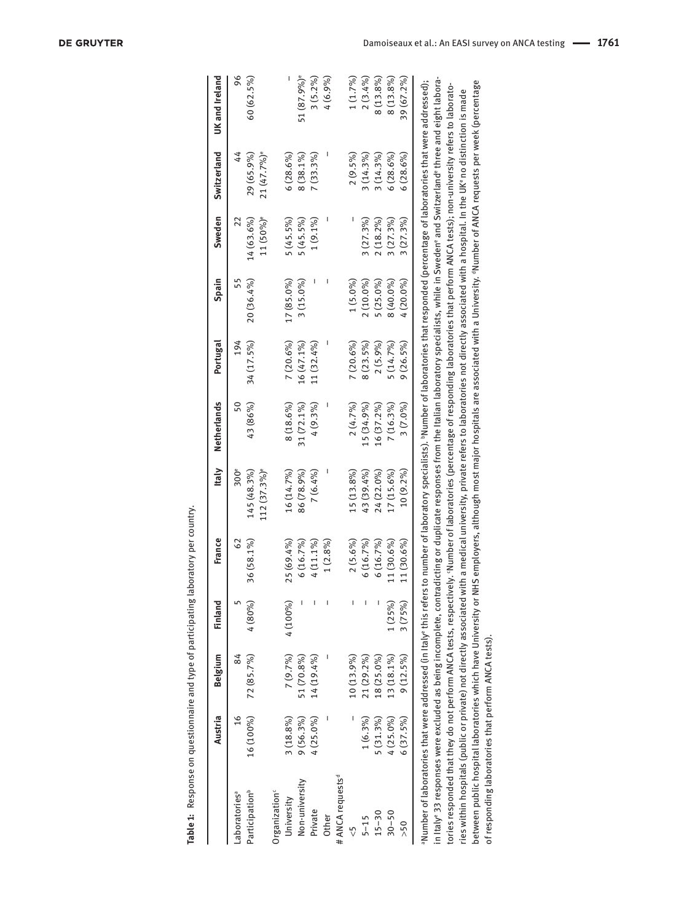|                                                                                                                                                                                                        | Austria                    | <b>Belgium</b>   | Finland      | <b>France</b>    | Italy                           | <b>Netherlands</b> | Portugal          | Spain            | Sweden                                  | <b>Switzerland</b>                     | UK and Ireland          |
|--------------------------------------------------------------------------------------------------------------------------------------------------------------------------------------------------------|----------------------------|------------------|--------------|------------------|---------------------------------|--------------------|-------------------|------------------|-----------------------------------------|----------------------------------------|-------------------------|
| Participation <sup>b</sup><br>-aboratories <sup>a</sup>                                                                                                                                                | 16 (100%)<br>$\frac{6}{1}$ | 84<br>72 (85.7%) | 4 (80%)<br>ь | 62<br>36 (58.1%) | 300 <sup>e</sup><br>145 (48.3%) | 43 (86%)<br>50     | 194<br>34 (17.5%) | 55<br>20 (36.4%) | 22<br>$14(63.6\%)$                      | 44<br>29 (65.9%)                       | 96<br>60 (62.5%)        |
| Organization <sup>c</sup><br>University                                                                                                                                                                | 3(18.8%)                   | 7(9.7%)          | 4 (100%)     | 25 (69.4%)       | $112(37.3\%)$<br>16 (14.7%)     | 8(18.6%)           | 7 (20.6%)         | 17 (85.0%)       | $11 (50\%)$ <sup>e</sup><br>$5(45.5\%)$ | 21 (47.7%) <sup>e</sup><br>$6(28.6\%)$ |                         |
| Non-university                                                                                                                                                                                         | $9(56.3\%)$                | 51 (70.8%)       | Ī            | 6(16.7%)         | 86 (78.9%)                      | $31(72.1\%)$       | $6(47.1\%)$       | $3(15.0\%)$      | $5(45.5\%)$                             | $8(38.1\%)$                            | 51 (87.9%) <sup>e</sup> |
| Private                                                                                                                                                                                                | $4(25.0\%)$                | 14 (19.4%)       | Ï            | $4(11.1\%)$      | $7(6.4\%)$                      | $4(9.3\%)$         | $11(32.4\%)$      |                  | $1(9.1\%)$                              | $7(33.3\%)$                            | 3(5.2%)                 |
| Other                                                                                                                                                                                                  |                            |                  | Ï            | $1(2.8\%)$       |                                 |                    |                   |                  |                                         |                                        | $4(6.9\%)$              |
| # ANCA requests <sup>d</sup>                                                                                                                                                                           |                            |                  |              |                  |                                 |                    |                   |                  |                                         |                                        |                         |
| $\frac{5}{2}$                                                                                                                                                                                          |                            | 10 (13.9%)       | Ī            | $2(5.6\%)$       | 15 (13.8%)                      | 2(4.7%)            | $7(20.6\%)$       | $1(5.0\%)$       |                                         | $2(9.5\%)$                             | 1(1.7%)                 |
| $5 - 15$                                                                                                                                                                                               | $1(6.3\%)$                 | 21 (29.2%)       | Ï            | 6(16.7%)         | 43 (39.4%)                      | 15 (34.9%)         | $8(23.5\%)$       | $2(10.0\%)$      | $3(27.3\%)$                             | 3(14.3%)                               | $2(3.4\%)$              |
| $15 - 30$                                                                                                                                                                                              | 5(31.3%)                   | 18 (25.0%)       |              | 6(16.7%)         | 24 (22.0%)                      | 16 (37.2%)         | 2(5.9%)           | $5(25.0\%)$      | $2(18.2\%)$                             | 3(14.3%)                               | $8(13.8\%)$             |
| $30 - 50$                                                                                                                                                                                              | $4(25.0\%)$                | 13 (18.1%)       | 1(25%)       | $11(30.6\%)$     | $17(15.6\%)$                    | 7(16.3%)           | 5(14.7%)          | 8 (40.0%)        | $3(27.3\%)$                             | $6(28.6\%)$                            | $8(13.8\%)$             |
| >50                                                                                                                                                                                                    | $6(37.5\%)$                | $9(12.5\%)$      | 3(75%)       | 11 (30.6%)       | 10 (9.2%)                       | 3(7.0%)            | 9(26.5%)          | 4 (20.0%)        | 3(27.3%)                                | $6(28.6\%)$                            | 39 (67.2%)              |
| Number of laboratories that were addressed (in Italy® this refers to number of laboratory specialists). Number of laboratories that responded (percentage of laboratories that were addressed);        |                            |                  |              |                  |                                 |                    |                   |                  |                                         |                                        |                         |
| in Italy®33 responses were excluded as being incomplete, contradicting or duplicate responses from the Italian laboratory specialists, while in Sweden® and Switzerland® three and eight labora        |                            |                  |              |                  |                                 |                    |                   |                  |                                         |                                        |                         |
| tories responded that they do not perform ANCA tests, respectively. 'Number of laboratories (percentage of responding laboratories that perform ANCA tests); non-university refers to laborato-        |                            |                  |              |                  |                                 |                    |                   |                  |                                         |                                        |                         |
| ries within hospitals (public or private) not directly associated with a medical university, private refers to laboratories not directly associated with a hospital. In the UK® no distinction is made |                            |                  |              |                  |                                 |                    |                   |                  |                                         |                                        |                         |

Table 1: Response on questionnaire and type of participating laboratory per country. **Table 1:** Response on questionnaire and type of participating laboratory per country.

between public hospital laboratories which have University or NHS employers, although most major hospitals are associated with a University. dNumber of ANCA requests per week (percentage

between public hospital laboratories which have University or NHS employers, although most major hospitals are associated with a University. 'Number of ANCA requests per week (percentage

of responding laboratories that perform ANCA tests).

of responding laboratories that perform ANCA tests).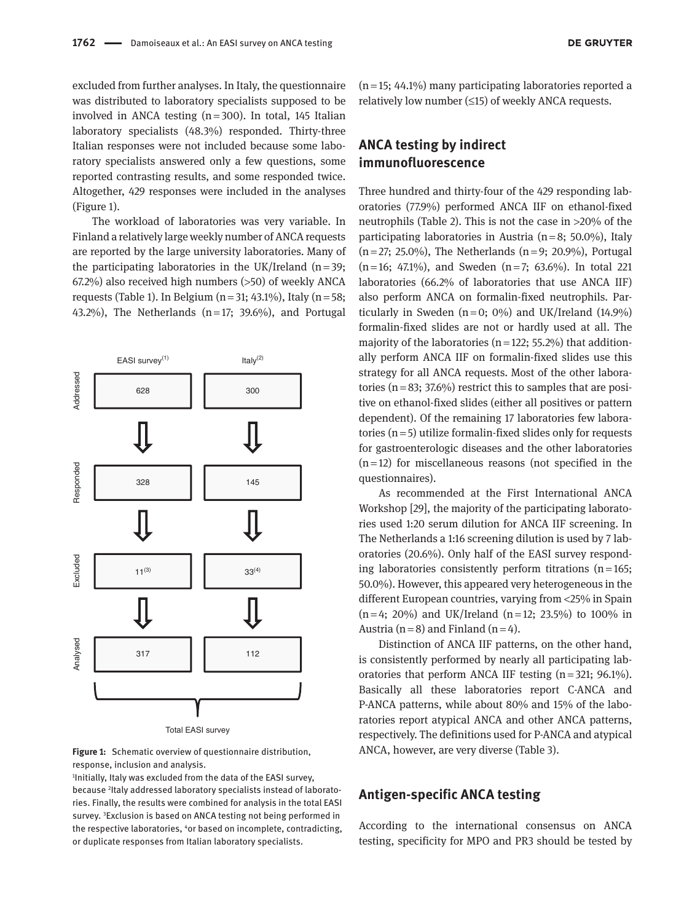excluded from further analyses. In Italy, the questionnaire was distributed to laboratory specialists supposed to be involved in ANCA testing (n = 300). In total, 145 Italian laboratory specialists (48.3%) responded. Thirty-three Italian responses were not included because some laboratory specialists answered only a few questions, some reported contrasting results, and some responded twice. Altogether, 429 responses were included in the analyses (Figure 1).

The workload of laboratories was very variable. In Finland a relatively large weekly number of ANCA requests are reported by the large university laboratories. Many of the participating laboratories in the UK/Ireland  $(n=39;$ 67.2%) also received high numbers (>50) of weekly ANCA requests (Table 1). In Belgium  $(n=31; 43.1\%)$ , Italy  $(n=58;$ 43.2%), The Netherlands  $(n=17; 39.6%)$ , and Portugal



**Figure 1:** Schematic overview of questionnaire distribution, response, inclusion and analysis.

1 Initially, Italy was excluded from the data of the EASI survey, because 2 Italy addressed laboratory specialists instead of laboratories. Finally, the results were combined for analysis in the total EASI survey. 3 Exclusion is based on ANCA testing not being performed in the respective laboratories, <sup>4</sup>or based on incomplete, contradicting, or duplicate responses from Italian laboratory specialists.

 $(n=15; 44.1%)$  many participating laboratories reported a relatively low number  $(\leq15)$  of weekly ANCA requests.

## **ANCA testing by indirect immunofluorescence**

Three hundred and thirty-four of the 429 responding laboratories (77.9%) performed ANCA IIF on ethanol-fixed neutrophils (Table 2). This is not the case in >20% of the participating laboratories in Austria ( $n=8$ ; 50.0%), Italy  $(n=27; 25.0\%)$ , The Netherlands  $(n=9; 20.9\%)$ , Portugal  $(n=16; 47.1\%)$ , and Sweden  $(n=7; 63.6\%)$ . In total 221 laboratories (66.2% of laboratories that use ANCA IIF) also perform ANCA on formalin-fixed neutrophils. Particularly in Sweden ( $n=0$ ; 0%) and UK/Ireland (14.9%) formalin-fixed slides are not or hardly used at all. The majority of the laboratories ( $n = 122$ ; 55.2%) that additionally perform ANCA IIF on formalin-fixed slides use this strategy for all ANCA requests. Most of the other laboratories  $(n=83; 37.6%)$  restrict this to samples that are positive on ethanol-fixed slides (either all positives or pattern dependent). Of the remaining 17 laboratories few laboratories  $(n=5)$  utilize formalin-fixed slides only for requests for gastroenterologic diseases and the other laboratories  $(n=12)$  for miscellaneous reasons (not specified in the questionnaires).

As recommended at the First International ANCA Workshop [29], the majority of the participating laboratories used 1:20 serum dilution for ANCA IIF screening. In The Netherlands a 1:16 screening dilution is used by 7 laboratories (20.6%). Only half of the EASI survey responding laboratories consistently perform titrations  $(n=165;$ 50.0%). However, this appeared very heterogeneous in the different European countries, varying from <25% in Spain  $(n=4; 20%)$  and UK/Ireland  $(n=12; 23.5%)$  to 100% in Austria ( $n = 8$ ) and Finland ( $n = 4$ ).

Distinction of ANCA IIF patterns, on the other hand, is consistently performed by nearly all participating laboratories that perform ANCA IIF testing (n = 321; 96.1%). Basically all these laboratories report C-ANCA and P-ANCA patterns, while about 80% and 15% of the laboratories report atypical ANCA and other ANCA patterns, respectively. The definitions used for P-ANCA and atypical ANCA, however, are very diverse (Table 3).

## **Antigen-specific ANCA testing**

According to the international consensus on ANCA testing, specificity for MPO and PR3 should be tested by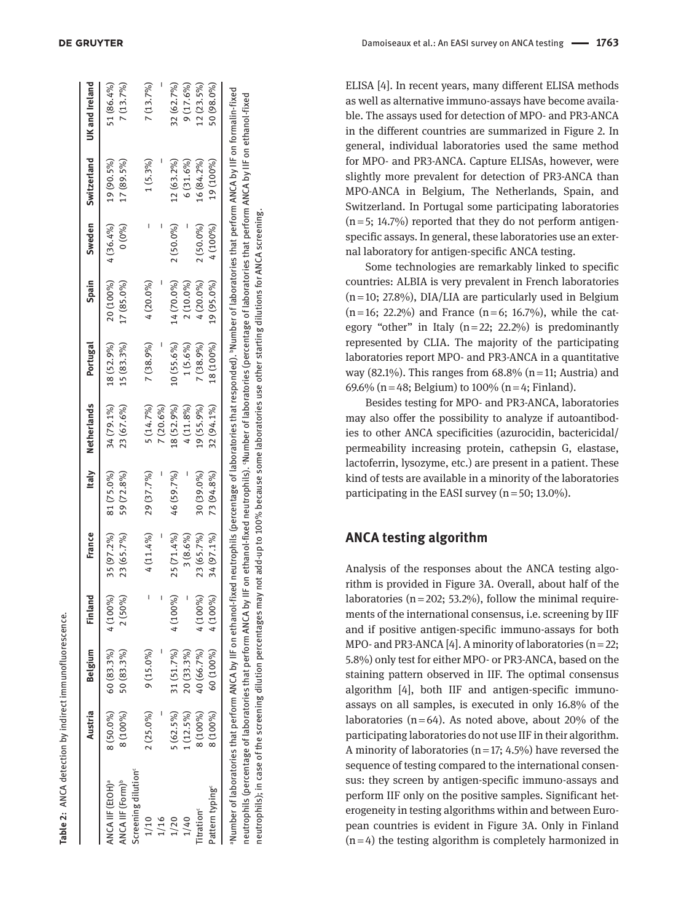|                                                                                                                                                                                                                                                                                                                                                                                               | Austria     | Belgium     | Finlan   | France      |            | Italy Netherlands | Portugal     | Spain       | Sweden    | Switzerland | UK and Ireland |
|-----------------------------------------------------------------------------------------------------------------------------------------------------------------------------------------------------------------------------------------------------------------------------------------------------------------------------------------------------------------------------------------------|-------------|-------------|----------|-------------|------------|-------------------|--------------|-------------|-----------|-------------|----------------|
| ANCA IIF (EtOH) <sup>®</sup>                                                                                                                                                                                                                                                                                                                                                                  | $8(50.0\%)$ | 60 (83.3%)  | 4 (100%) | 35 (97.2%)  | 81 (75.0%) | 34 (79.1%)        | 18 (52.9%)   | 20 (100%)   | 4 (36.4%) | 19 (90.5%)  | 51 (86.4%)     |
| ANCA IIF (Form) <sup>b</sup>                                                                                                                                                                                                                                                                                                                                                                  | 8 (100%)    | 50 (83.3%)  | 2(50%    | 23 (65.7%)  | 59 (72.8%) | 23 (67.6%)        | 15 (83.3%)   | 17 (85.0%)  | $0(0\%)$  | 17 (89.5%)  | 7(13.7%)       |
| Screening dilution <sup>c</sup>                                                                                                                                                                                                                                                                                                                                                               |             |             |          |             |            |                   |              |             |           |             |                |
| 1/10                                                                                                                                                                                                                                                                                                                                                                                          | $2(25.0\%)$ | $9(15.0\%)$ |          | $4(11.4\%)$ | 29 (37.7%) | 5(14.7%)          | 7(38.9%)     | 4(20.0%)    |           | 1(5.3%)     | 7(13.7%)       |
| 1/16                                                                                                                                                                                                                                                                                                                                                                                          |             |             |          |             |            | 7(20.6%)          |              |             |           |             |                |
| 1/20                                                                                                                                                                                                                                                                                                                                                                                          | 5 (62.5%)   | 31 (51.7%)  | 4(100%)  | 25 (71.4%)  | 46 (59.7%) | 18 (52.9%)        | $10(55.6\%)$ | 14 (70.0%)  | 2 (50.0%) | 12 (63.2%)  | 32 (62.7%)     |
| 1/40                                                                                                                                                                                                                                                                                                                                                                                          | $(12.5\%)$  | 20 (33.3%)  |          | 3(8.6%)     |            | 4(11.8%)          | $1(5.6\%)$   | $2(10.0\%)$ |           | 6(31.6%)    | $9(17.6\%)$    |
| itration <sup>c</sup>                                                                                                                                                                                                                                                                                                                                                                         | 8 (100%)    | 40 (66.7%)  | 4 (100%) | 23 (65.7%)  | 30 (39.0%) | 19 (55.9%)        | 7(38.9%)     | 4 (20.0%)   | 2 (50.0%) | 16 (84.2%)  | $12(23.5\%)$   |
| Pattern typing <sup>c</sup>                                                                                                                                                                                                                                                                                                                                                                   | 8 (100%)    | 60 (100%)   | 4(100%   | 34 (97.1%)  | 73 (94.8%) | 32 (94.1%)        | 18 (100%)    | 19 (95.0%)  | 4 (100%)  | 19 (100%)   | 50 (98.0%)     |
| Number of laboratories that perform ANCA by IIF on ethanol-fixed neutrophils (percentage of laboratories that responded). "Number of laboratories that perform ANCA by IIF on formalin-fixed<br>neutrophils (percentage of laboratories that perform ANCA by IIF on ethanol-fixed neutrophils). 'Number of laboratories (percentage of laboratories that perform ANCA by IIF on ethanol-fixed |             |             |          |             |            |                   |              |             |           |             |                |
| neutrophils); in case of the screening dilution percentages may not add-up to 100% because some laboratories use other starting dilutions for ANCA screening.                                                                                                                                                                                                                                 |             |             |          |             |            |                   |              |             |           |             |                |

Table 2: ANCA detection by indirect immunofluorescence

ANCA detection by indirect immunofluorescence.

ELISA [4]. In recent years, many different ELISA methods as well as alternative immuno-assays have become availa ble. The assays used for detection of MPO- and PR3-ANCA in the different countries are summarized in Figure 2. In general, individual laboratories used the same method for MPO- and PR3-ANCA. Capture ELISAs, however, were slightly more prevalent for detection of PR3-ANCA than MPO-ANCA in Belgium, The Netherlands, Spain, and Switzerland. In Portugal some participating laboratories  $(n=5; 14.7%)$  reported that they do not perform antigenspecific assays. In general, these laboratories use an external laboratory for antigen-specific ANCA testing.

Some technologies are remarkably linked to specific countries: ALBIA is very prevalent in French laboratories  $(n=10; 27.8\%)$ , DIA/LIA are particularly used in Belgium  $(n=16; 22.2%)$  and France  $(n=6; 16.7%)$ , while the category "other" in Italy (n  = 22; 22.2%) is predominantly represented by CLIA. The majority of the participating laboratories report MPO- and PR3-ANCA in a quantitative way (82.1%). This ranges from 68.8% (n  = 11; Austria) and 69.6% (n = 48; Belgium) to 100% (n = 4; Finland).

Besides testing for MPO- and PR3-ANCA, laboratories may also offer the possibility to analyze if autoantibod ies to other ANCA specificities (azurocidin, bactericidal/ permeability increasing protein, cathepsin G, elastase, lactoferrin, lysozyme, etc.) are present in a patient. These kind of tests are available in a minority of the laboratories participating in the EASI survey (n  = 50; 13.0%).

## **ANCA testing algorithm**

Analysis of the responses about the ANCA testing algo rithm is provided in Figure 3A. Overall, about half of the laboratories ( $n = 202$ ; 53.2%), follow the minimal requirements of the international consensus, i.e. screening by IIF and if positive antigen-specific immuno-assays for both MPO- and PR3-ANCA [4]. A minority of laboratories (n  = 22; 5.8%) only test for either MPO- or PR3-ANCA, based on the staining pattern observed in IIF. The optimal consensus algorithm [4], both IIF and antigen-specific immunoassays on all samples, is executed in only 16.8% of the laboratories  $(n=64)$ . As noted above, about 20% of the participating laboratories do not use IIF in their algorithm. A minority of laboratories ( $n = 17$ ; 4.5%) have reversed the sequence of testing compared to the international consen sus: they screen by antigen-specific immuno-assays and perform IIF only on the positive samples. Significant het erogeneity in testing algorithms within and between Euro pean countries is evident in Figure 3A. Only in Finland  $(n=4)$  the testing algorithm is completely harmonized in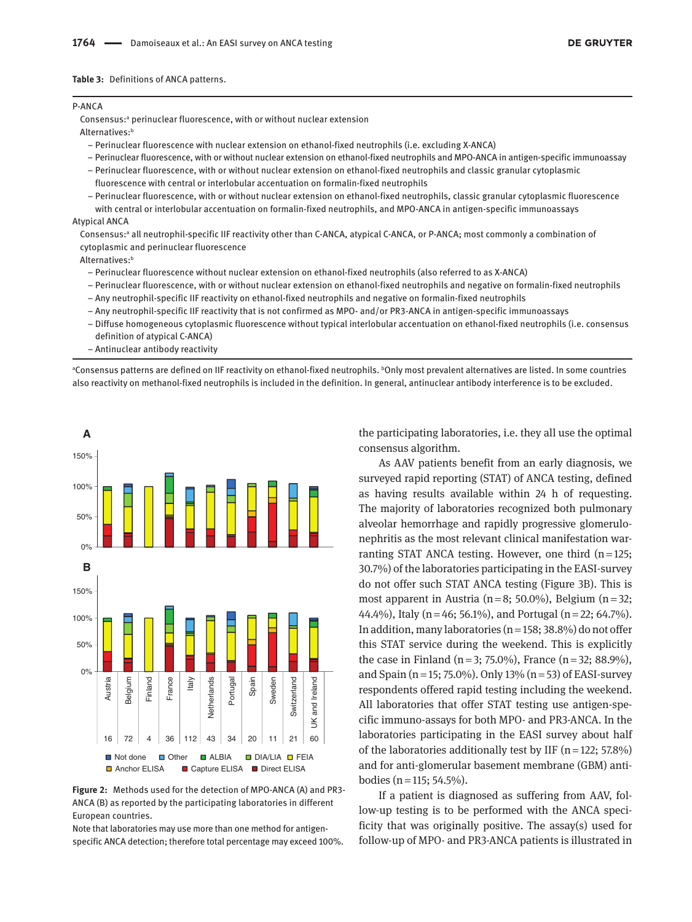#### **Table 3:** Definitions of ANCA patterns.

#### P-ANCA

Consensus:<sup>a</sup> perinuclear fluorescence, with or without nuclear extension

Alternatives:<sup>b</sup>

- Perinuclear fluorescence with nuclear extension on ethanol-fixed neutrophils (i.e. excluding X-ANCA)
- Perinuclear fluorescence, with or without nuclear extension on ethanol-fixed neutrophils and MPO-ANCA in antigen-specific immunoassay
- – Perinuclear fluorescence, with or without nuclear extension on ethanol-fixed neutrophils and classic granular cytoplasmic fluorescence with central or interlobular accentuation on formalin-fixed neutrophils
- – Perinuclear fluorescence, with or without nuclear extension on ethanol-fixed neutrophils, classic granular cytoplasmic fluorescence with central or interlobular accentuation on formalin-fixed neutrophils, and MPO-ANCA in antigen-specific immunoassays

#### Atypical ANCA

Consensus:<sup>a</sup> all neutrophil-specific IIF reactivity other than C-ANCA, atypical C-ANCA, or P-ANCA; most commonly a combination of cytoplasmic and perinuclear fluorescence

Alternatives:<sup>b</sup>

- Perinuclear fluorescence without nuclear extension on ethanol-fixed neutrophils (also referred to as X-ANCA)
- Perinuclear fluorescence, with or without nuclear extension on ethanol-fixed neutrophils and negative on formalin-fixed neutrophils
- Any neutrophil-specific IIF reactivity on ethanol-fixed neutrophils and negative on formalin-fixed neutrophils
- Any neutrophil-specific IIF reactivity that is not confirmed as MPO- and/or PR3-ANCA in antigen-specific immunoassays
- – Diffuse homogeneous cytoplasmic fluorescence without typical interlobular accentuation on ethanol-fixed neutrophils (i.e. consensus definition of atypical C-ANCA)
- Antinuclear antibody reactivity

ªConsensus patterns are defined on IIF reactivity on ethanol-fixed neutrophils. ʰOnly most prevalent alternatives are listed. In some countries also reactivity on methanol-fixed neutrophils is included in the definition. In general, antinuclear antibody interference is to be excluded.



**Figure 2:** Methods used for the detection of MPO-ANCA (A) and PR3- ANCA (B) as reported by the participating laboratories in different European countries.

Note that laboratories may use more than one method for antigenspecific ANCA detection; therefore total percentage may exceed 100%. the participating laboratories, i.e. they all use the optimal consensus algorithm.

As AAV patients benefit from an early diagnosis, we surveyed rapid reporting (STAT) of ANCA testing, defined as having results available within 24 h of requesting. The majority of laboratories recognized both pulmonary alveolar hemorrhage and rapidly progressive glomerulonephritis as the most relevant clinical manifestation warranting STAT ANCA testing. However, one third (n = 125; 30.7%) of the laboratories participating in the EASI-survey do not offer such STAT ANCA testing (Figure 3B). This is most apparent in Austria ( $n=8$ ; 50.0%), Belgium ( $n=32$ ; 44.4%), Italy (n = 46; 56.1%), and Portugal (n = 22; 64.7%). In addition, many laboratories ( $n = 158$ ; 38.8%) do not offer this STAT service during the weekend. This is explicitly the case in Finland (n = 3; 75.0%), France (n = 32; 88.9%), and Spain ( $n = 15$ ; 75.0%). Only 13% ( $n = 53$ ) of EASI-survey respondents offered rapid testing including the weekend. All laboratories that offer STAT testing use antigen-specific immuno-assays for both MPO- and PR3-ANCA. In the laboratories participating in the EASI survey about half of the laboratories additionally test by IIF  $(n=122; 57.8\%)$ and for anti-glomerular basement membrane (GBM) antibodies ( $n = 115$ ; 54.5%).

If a patient is diagnosed as suffering from AAV, follow-up testing is to be performed with the ANCA specificity that was originally positive. The assay(s) used for follow-up of MPO- and PR3-ANCA patients is illustrated in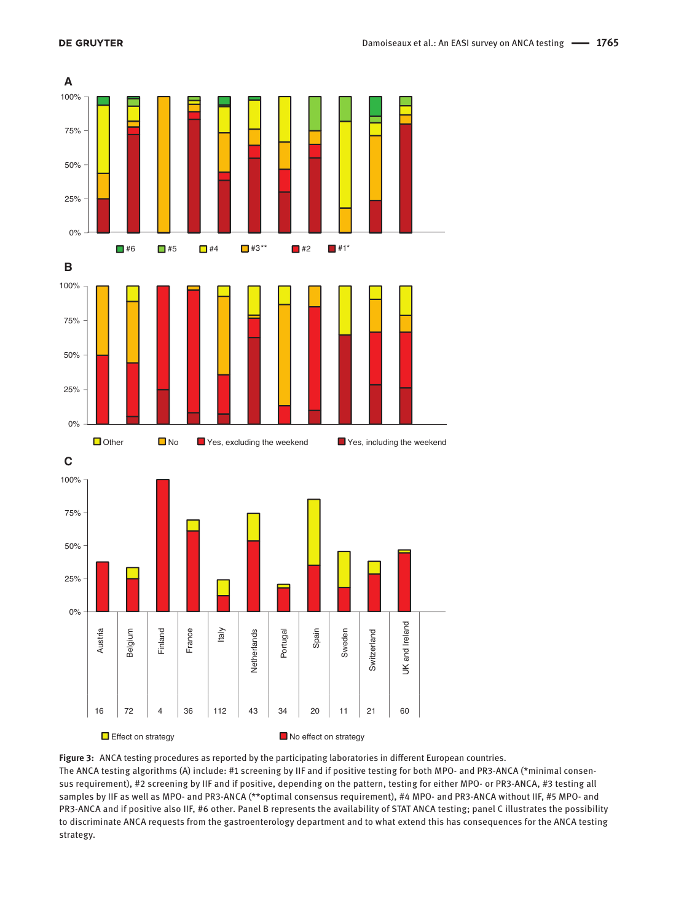

**Figure 3:** ANCA testing procedures as reported by the participating laboratories in different European countries. The ANCA testing algorithms (A) include: #1 screening by IIF and if positive testing for both MPO- and PR3-ANCA (\*minimal consensus requirement), #2 screening by IIF and if positive, depending on the pattern, testing for either MPO- or PR3-ANCA, #3 testing all samples by IIF as well as MPO- and PR3-ANCA (\*\*optimal consensus requirement), #4 MPO- and PR3-ANCA without IIF, #5 MPO- and PR3-ANCA and if positive also IIF, #6 other. Panel B represents the availability of STAT ANCA testing; panel C illustrates the possibility to discriminate ANCA requests from the gastroenterology department and to what extend this has consequences for the ANCA testing strategy.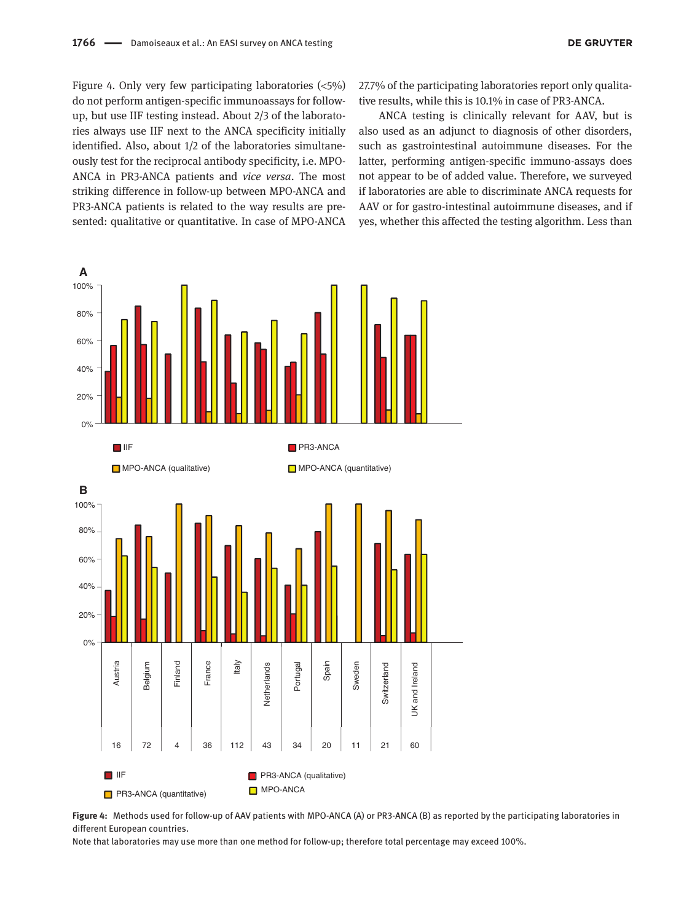Figure 4. Only very few participating laboratories  $(<5%)$ do not perform antigen-specific immunoassays for followup, but use IIF testing instead. About 2/3 of the laboratories always use IIF next to the ANCA specificity initially identified. Also, about 1/2 of the laboratories simultaneously test for the reciprocal antibody specificity, i.e. MPO-ANCA in PR3-ANCA patients and *vice versa*. The most striking difference in follow-up between MPO-ANCA and PR3-ANCA patients is related to the way results are presented: qualitative or quantitative. In case of MPO-ANCA 27.7% of the participating laboratories report only qualitative results, while this is 10.1% in case of PR3-ANCA.

ANCA testing is clinically relevant for AAV, but is also used as an adjunct to diagnosis of other disorders, such as gastrointestinal autoimmune diseases. For the latter, performing antigen-specific immuno-assays does not appear to be of added value. Therefore, we surveyed if laboratories are able to discriminate ANCA requests for AAV or for gastro-intestinal autoimmune diseases, and if yes, whether this affected the testing algorithm. Less than



**Figure 4:** Methods used for follow-up of AAV patients with MPO-ANCA (A) or PR3-ANCA (B) as reported by the participating laboratories in different European countries.

Note that laboratories may use more than one method for follow-up; therefore total percentage may exceed 100%.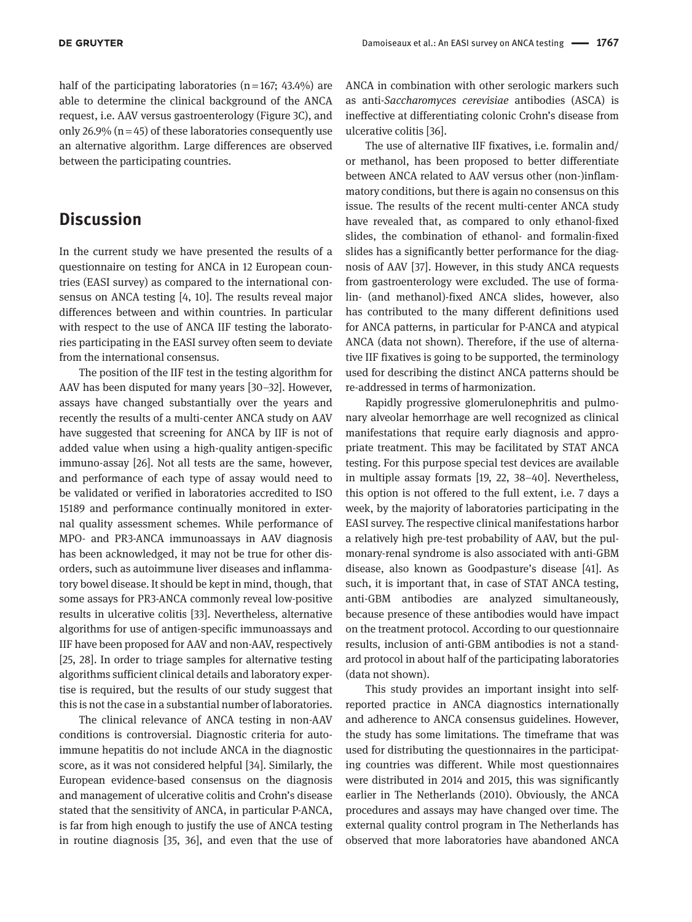half of the participating laboratories ( $n=167$ ; 43.4%) are able to determine the clinical background of the ANCA request, i.e. AAV versus gastroenterology (Figure 3C), and only 26.9% ( $n = 45$ ) of these laboratories consequently use an alternative algorithm. Large differences are observed between the participating countries.

# **Discussion**

In the current study we have presented the results of a questionnaire on testing for ANCA in 12 European countries (EASI survey) as compared to the international consensus on ANCA testing [4, 10]. The results reveal major differences between and within countries. In particular with respect to the use of ANCA IIF testing the laboratories participating in the EASI survey often seem to deviate from the international consensus.

The position of the IIF test in the testing algorithm for AAV has been disputed for many years [30–32]. However, assays have changed substantially over the years and recently the results of a multi-center ANCA study on AAV have suggested that screening for ANCA by IIF is not of added value when using a high-quality antigen-specific immuno-assay [26]. Not all tests are the same, however, and performance of each type of assay would need to be validated or verified in laboratories accredited to ISO 15189 and performance continually monitored in external quality assessment schemes. While performance of MPO- and PR3-ANCA immunoassays in AAV diagnosis has been acknowledged, it may not be true for other disorders, such as autoimmune liver diseases and inflammatory bowel disease. It should be kept in mind, though, that some assays for PR3-ANCA commonly reveal low-positive results in ulcerative colitis [33]. Nevertheless, alternative algorithms for use of antigen-specific immunoassays and IIF have been proposed for AAV and non-AAV, respectively [25, 28]. In order to triage samples for alternative testing algorithms sufficient clinical details and laboratory expertise is required, but the results of our study suggest that this is not the case in a substantial number of laboratories.

The clinical relevance of ANCA testing in non-AAV conditions is controversial. Diagnostic criteria for autoimmune hepatitis do not include ANCA in the diagnostic score, as it was not considered helpful [34]. Similarly, the European evidence-based consensus on the diagnosis and management of ulcerative colitis and Crohn's disease stated that the sensitivity of ANCA, in particular P-ANCA, is far from high enough to justify the use of ANCA testing in routine diagnosis [35, 36], and even that the use of

ANCA in combination with other serologic markers such as anti-*Saccharomyces cerevisiae* antibodies (ASCA) is ineffective at differentiating colonic Crohn's disease from ulcerative colitis [36].

The use of alternative IIF fixatives, i.e. formalin and/ or methanol, has been proposed to better differentiate between ANCA related to AAV versus other (non-)inflammatory conditions, but there is again no consensus on this issue. The results of the recent multi-center ANCA study have revealed that, as compared to only ethanol-fixed slides, the combination of ethanol- and formalin-fixed slides has a significantly better performance for the diagnosis of AAV [37]. However, in this study ANCA requests from gastroenterology were excluded. The use of formalin- (and methanol)-fixed ANCA slides, however, also has contributed to the many different definitions used for ANCA patterns, in particular for P-ANCA and atypical ANCA (data not shown). Therefore, if the use of alternative IIF fixatives is going to be supported, the terminology used for describing the distinct ANCA patterns should be re-addressed in terms of harmonization.

Rapidly progressive glomerulonephritis and pulmonary alveolar hemorrhage are well recognized as clinical manifestations that require early diagnosis and appropriate treatment. This may be facilitated by STAT ANCA testing. For this purpose special test devices are available in multiple assay formats [19, 22, 38–40]. Nevertheless, this option is not offered to the full extent, i.e. 7 days a week, by the majority of laboratories participating in the EASI survey. The respective clinical manifestations harbor a relatively high pre-test probability of AAV, but the pulmonary-renal syndrome is also associated with anti-GBM disease, also known as Goodpasture's disease [41]. As such, it is important that, in case of STAT ANCA testing, anti-GBM antibodies are analyzed simultaneously, because presence of these antibodies would have impact on the treatment protocol. According to our questionnaire results, inclusion of anti-GBM antibodies is not a standard protocol in about half of the participating laboratories (data not shown).

This study provides an important insight into selfreported practice in ANCA diagnostics internationally and adherence to ANCA consensus guidelines. However, the study has some limitations. The timeframe that was used for distributing the questionnaires in the participating countries was different. While most questionnaires were distributed in 2014 and 2015, this was significantly earlier in The Netherlands (2010). Obviously, the ANCA procedures and assays may have changed over time. The external quality control program in The Netherlands has observed that more laboratories have abandoned ANCA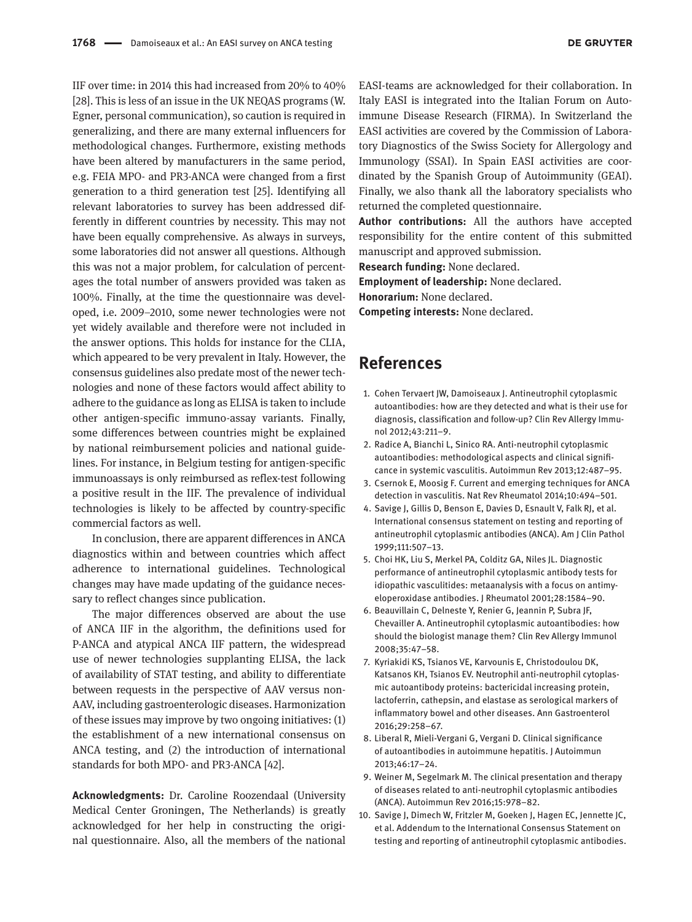IIF over time: in 2014 this had increased from 20% to 40% [28]. This is less of an issue in the UK NEQAS programs (W. Egner, personal communication), so caution is required in generalizing, and there are many external influencers for methodological changes. Furthermore, existing methods have been altered by manufacturers in the same period, e.g. FEIA MPO- and PR3-ANCA were changed from a first generation to a third generation test [25]. Identifying all relevant laboratories to survey has been addressed differently in different countries by necessity. This may not have been equally comprehensive. As always in surveys, some laboratories did not answer all questions. Although this was not a major problem, for calculation of percentages the total number of answers provided was taken as 100%. Finally, at the time the questionnaire was developed, i.e. 2009–2010, some newer technologies were not yet widely available and therefore were not included in the answer options. This holds for instance for the CLIA, which appeared to be very prevalent in Italy. However, the consensus guidelines also predate most of the newer technologies and none of these factors would affect ability to adhere to the guidance as long as ELISA is taken to include other antigen-specific immuno-assay variants. Finally, some differences between countries might be explained by national reimbursement policies and national guidelines. For instance, in Belgium testing for antigen-specific immunoassays is only reimbursed as reflex-test following a positive result in the IIF. The prevalence of individual technologies is likely to be affected by country-specific commercial factors as well.

In conclusion, there are apparent differences in ANCA diagnostics within and between countries which affect adherence to international guidelines. Technological changes may have made updating of the guidance necessary to reflect changes since publication.

The major differences observed are about the use of ANCA IIF in the algorithm, the definitions used for P-ANCA and atypical ANCA IIF pattern, the widespread use of newer technologies supplanting ELISA, the lack of availability of STAT testing, and ability to differentiate between requests in the perspective of AAV versus non-AAV, including gastroenterologic diseases. Harmonization of these issues may improve by two ongoing initiatives: (1) the establishment of a new international consensus on ANCA testing, and (2) the introduction of international standards for both MPO- and PR3-ANCA [42].

**Acknowledgments:** Dr. Caroline Roozendaal (University Medical Center Groningen, The Netherlands) is greatly acknowledged for her help in constructing the original questionnaire. Also, all the members of the national

EASI-teams are acknowledged for their collaboration. In Italy EASI is integrated into the Italian Forum on Autoimmune Disease Research (FIRMA). In Switzerland the EASI activities are covered by the Commission of Laboratory Diagnostics of the Swiss Society for Allergology and Immunology (SSAI). In Spain EASI activities are coordinated by the Spanish Group of Autoimmunity (GEAI). Finally, we also thank all the laboratory specialists who returned the completed questionnaire.

**Author contributions:** All the authors have accepted responsibility for the entire content of this submitted manuscript and approved submission.

**Research funding:** None declared.

**Employment of leadership:** None declared.

**Honorarium:** None declared.

**Competing interests:** None declared.

# **References**

- 1. Cohen Tervaert JW, Damoiseaux J. Antineutrophil cytoplasmic autoantibodies: how are they detected and what is their use for diagnosis, classification and follow-up? Clin Rev Allergy Immunol 2012;43:211–9.
- 2. Radice A, Bianchi L, Sinico RA. Anti-neutrophil cytoplasmic autoantibodies: methodological aspects and clinical significance in systemic vasculitis. Autoimmun Rev 2013;12:487–95.
- 3. Csernok E, Moosig F. Current and emerging techniques for ANCA detection in vasculitis. Nat Rev Rheumatol 2014;10:494–501.
- 4. Savige J, Gillis D, Benson E, Davies D, Esnault V, Falk RJ, et al. International consensus statement on testing and reporting of antineutrophil cytoplasmic antibodies (ANCA). Am J Clin Pathol 1999;111:507–13.
- 5. Choi HK, Liu S, Merkel PA, Colditz GA, Niles JL. Diagnostic performance of antineutrophil cytoplasmic antibody tests for idiopathic vasculitides: metaanalysis with a focus on antimyeloperoxidase antibodies. J Rheumatol 2001;28:1584–90.
- 6. Beauvillain C, Delneste Y, Renier G, Jeannin P, Subra JF, Chevailler A. Antineutrophil cytoplasmic autoantibodies: how should the biologist manage them? Clin Rev Allergy Immunol 2008;35:47–58.
- 7. Kyriakidi KS, Tsianos VE, Karvounis E, Christodoulou DK, Katsanos KH, Tsianos EV. Neutrophil anti-neutrophil cytoplasmic autoantibody proteins: bactericidal increasing protein, lactoferrin, cathepsin, and elastase as serological markers of inflammatory bowel and other diseases. Ann Gastroenterol 2016;29:258–67.
- 8. Liberal R, Mieli-Vergani G, Vergani D. Clinical significance of autoantibodies in autoimmune hepatitis. J Autoimmun 2013;46:17–24.
- 9. Weiner M, Segelmark M. The clinical presentation and therapy of diseases related to anti-neutrophil cytoplasmic antibodies (ANCA). Autoimmun Rev 2016;15:978–82.
- 10. Savige J, Dimech W, Fritzler M, Goeken J, Hagen EC, Jennette JC, et al. Addendum to the International Consensus Statement on testing and reporting of antineutrophil cytoplasmic antibodies.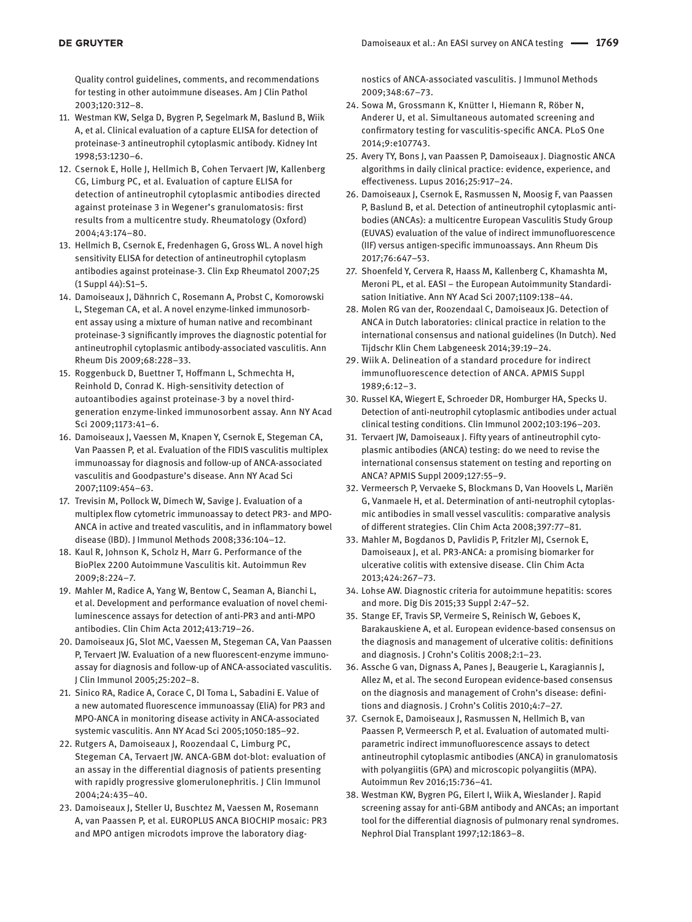Quality control guidelines, comments, and recommendations for testing in other autoimmune diseases. Am J Clin Pathol 2003;120:312–8.

- 11. Westman KW, Selga D, Bygren P, Segelmark M, Baslund B, Wiik A, et al. Clinical evaluation of a capture ELISA for detection of proteinase-3 antineutrophil cytoplasmic antibody. Kidney Int 1998;53:1230–6.
- 12. Csernok E, Holle J, Hellmich B, Cohen Tervaert JW, Kallenberg CG, Limburg PC, et al. Evaluation of capture ELISA for detection of antineutrophil cytoplasmic antibodies directed against proteinase 3 in Wegener's granulomatosis: first results from a multicentre study. Rheumatology (Oxford) 2004;43:174–80.
- 13. Hellmich B, Csernok E, Fredenhagen G, Gross WL. A novel high sensitivity ELISA for detection of antineutrophil cytoplasm antibodies against proteinase-3. Clin Exp Rheumatol 2007;25 (1 Suppl 44):S1–5.
- 14. Damoiseaux J, Dähnrich C, Rosemann A, Probst C, Komorowski L, Stegeman CA, et al. A novel enzyme-linked immunosorbent assay using a mixture of human native and recombinant proteinase-3 significantly improves the diagnostic potential for antineutrophil cytoplasmic antibody-associated vasculitis. Ann Rheum Dis 2009;68:228–33.
- 15. Roggenbuck D, Buettner T, Hoffmann L, Schmechta H, Reinhold D, Conrad K. High-sensitivity detection of autoantibodies against proteinase-3 by a novel thirdgeneration enzyme-linked immunosorbent assay. Ann NY Acad Sci 2009;1173:41–6.
- 16. Damoiseaux J, Vaessen M, Knapen Y, Csernok E, Stegeman CA, Van Paassen P, et al. Evaluation of the FIDIS vasculitis multiplex immunoassay for diagnosis and follow-up of ANCA-associated vasculitis and Goodpasture's disease. Ann NY Acad Sci 2007;1109:454–63.
- 17. Trevisin M, Pollock W, Dimech W, Savige J. Evaluation of a multiplex flow cytometric immunoassay to detect PR3- and MPO-ANCA in active and treated vasculitis, and in inflammatory bowel disease (IBD). J Immunol Methods 2008;336:104–12.
- 18. Kaul R, Johnson K, Scholz H, Marr G. Performance of the BioPlex 2200 Autoimmune Vasculitis kit. Autoimmun Rev 2009;8:224–7.
- 19. Mahler M, Radice A, Yang W, Bentow C, Seaman A, Bianchi L, et al. Development and performance evaluation of novel chemiluminescence assays for detection of anti-PR3 and anti-MPO antibodies. Clin Chim Acta 2012;413:719–26.
- 20. Damoiseaux JG, Slot MC, Vaessen M, Stegeman CA, Van Paassen P, Tervaert JW. Evaluation of a new fluorescent-enzyme immunoassay for diagnosis and follow-up of ANCA-associated vasculitis. J Clin Immunol 2005;25:202–8.
- 21. Sinico RA, Radice A, Corace C, DI Toma L, Sabadini E. Value of a new automated fluorescence immunoassay (EliA) for PR3 and MPO-ANCA in monitoring disease activity in ANCA-associated systemic vasculitis. Ann NY Acad Sci 2005;1050:185–92.
- 22. Rutgers A, Damoiseaux J, Roozendaal C, Limburg PC, Stegeman CA, Tervaert JW. ANCA-GBM dot-blot: evaluation of an assay in the differential diagnosis of patients presenting with rapidly progressive glomerulonephritis. J Clin Immunol 2004;24:435–40.
- 23. Damoiseaux J, Steller U, Buschtez M, Vaessen M, Rosemann A, van Paassen P, et al. EUROPLUS ANCA BIOCHIP mosaic: PR3 and MPO antigen microdots improve the laboratory diag-

nostics of ANCA-associated vasculitis. J Immunol Methods 2009;348:67–73.

- 24. Sowa M, Grossmann K, Knütter I, Hiemann R, Röber N, Anderer U, et al. Simultaneous automated screening and confirmatory testing for vasculitis-specific ANCA. PLoS One 2014;9:e107743.
- 25. Avery TY, Bons J, van Paassen P, Damoiseaux J. Diagnostic ANCA algorithms in daily clinical practice: evidence, experience, and effectiveness. Lupus 2016;25:917–24.
- 26. Damoiseaux J, Csernok E, Rasmussen N, Moosig F, van Paassen P, Baslund B, et al. Detection of antineutrophil cytoplasmic antibodies (ANCAs): a multicentre European Vasculitis Study Group (EUVAS) evaluation of the value of indirect immunofluorescence (IIF) versus antigen-specific immunoassays. Ann Rheum Dis 2017;76:647–53.
- 27. Shoenfeld Y, Cervera R, Haass M, Kallenberg C, Khamashta M, Meroni PL, et al. EASI – the European Autoimmunity Standardisation Initiative. Ann NY Acad Sci 2007;1109:138–44.
- 28. Molen RG van der, Roozendaal C, Damoiseaux JG. Detection of ANCA in Dutch laboratories: clinical practice in relation to the international consensus and national guidelines (In Dutch). Ned Tijdschr Klin Chem Labgeneesk 2014;39:19–24.
- 29. Wiik A. Delineation of a standard procedure for indirect immunofluorescence detection of ANCA. APMIS Suppl 1989;6:12–3.
- 30. Russel KA, Wiegert E, Schroeder DR, Homburger HA, Specks U. Detection of anti-neutrophil cytoplasmic antibodies under actual clinical testing conditions. Clin Immunol 2002;103:196–203.
- 31. Tervaert JW, Damoiseaux J. Fifty years of antineutrophil cytoplasmic antibodies (ANCA) testing: do we need to revise the international consensus statement on testing and reporting on ANCA? APMIS Suppl 2009;127:55–9.
- 32. Vermeersch P, Vervaeke S, Blockmans D, Van Hoovels L, Mariën G, Vanmaele H, et al. Determination of anti-neutrophil cytoplasmic antibodies in small vessel vasculitis: comparative analysis of different strategies. Clin Chim Acta 2008;397:77–81.
- 33. Mahler M, Bogdanos D, Pavlidis P, Fritzler MJ, Csernok E, Damoiseaux J, et al. PR3-ANCA: a promising biomarker for ulcerative colitis with extensive disease. Clin Chim Acta 2013;424:267–73.
- 34. Lohse AW. Diagnostic criteria for autoimmune hepatitis: scores and more. Dig Dis 2015;33 Suppl 2:47–52.
- 35. Stange EF, Travis SP, Vermeire S, Reinisch W, Geboes K, Barakauskiene A, et al. European evidence-based consensus on the diagnosis and management of ulcerative colitis: definitions and diagnosis. J Crohn's Colitis 2008;2:1–23.
- 36. Assche G van, Dignass A, Panes J, Beaugerie L, Karagiannis J, Allez M, et al. The second European evidence-based consensus on the diagnosis and management of Crohn's disease: definitions and diagnosis. J Crohn's Colitis 2010;4:7–27.
- 37. Csernok E, Damoiseaux J, Rasmussen N, Hellmich B, van Paassen P, Vermeersch P, et al. Evaluation of automated multiparametric indirect immunofluorescence assays to detect antineutrophil cytoplasmic antibodies (ANCA) in granulomatosis with polyangiitis (GPA) and microscopic polyangiitis (MPA). Autoimmun Rev 2016;15:736–41.
- 38. Westman KW, Bygren PG, Eilert I, Wiik A, Wieslander J. Rapid screening assay for anti-GBM antibody and ANCAs; an important tool for the differential diagnosis of pulmonary renal syndromes. Nephrol Dial Transplant 1997;12:1863–8.